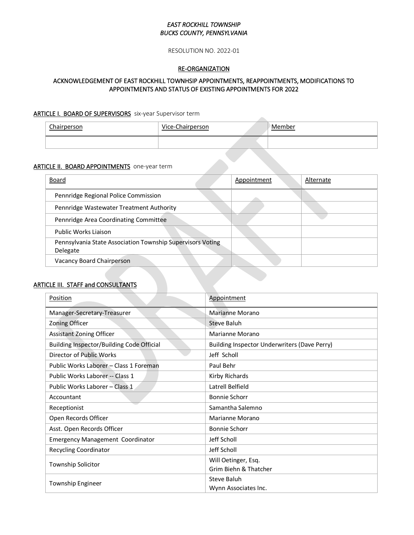## *EAST ROCKHILL TOWNSHIP BUCKS COUNTY, PENNSYLVANIA*

RESOLUTION NO. 2022-01

### RE-ORGANIZATION

## ACKNOWLEDGEMENT OF EAST ROCKHILL TOWNHSIP APPOINTMENTS, REAPPOINTMENTS, MODIFICATIONS TO APPOINTMENTS AND STATUS OF EXISTING APPOINTMENTS FOR 2022

#### ARTICLE I. BOARD OF SUPERVISORS six-year Supervisor term

| Chairperson | Vice-Chairperson | 'Member |
|-------------|------------------|---------|
|             |                  |         |

**Allen** 

#### ARTICLE II. BOARD APPOINTMENTS one-year term

| Board                                                                  | Appointment | Alternate |
|------------------------------------------------------------------------|-------------|-----------|
| Pennridge Regional Police Commission                                   |             |           |
| Pennridge Wastewater Treatment Authority                               |             |           |
| Pennridge Area Coordinating Committee                                  |             |           |
| Public Works Liaison                                                   |             |           |
| Pennsylvania State Association Township Supervisors Voting<br>Delegate |             |           |
| Vacancy Board Chairperson                                              |             |           |

## ARTICLE III. STAFF and CONSULTANTS

| Position                                  | Appointment                                  |  |
|-------------------------------------------|----------------------------------------------|--|
| Manager-Secretary-Treasurer               | Marianne Morano                              |  |
| Zoning Officer                            | <b>Steve Baluh</b>                           |  |
| <b>Assistant Zoning Officer</b>           | Marianne Morano                              |  |
| Building Inspector/Building Code Official | Building Inspector Underwriters (Dave Perry) |  |
| Director of Public Works                  | Jeff Scholl                                  |  |
| Public Works Laborer - Class 1 Foreman    | Paul Behr                                    |  |
| Public Works Laborer -- Class 1           | Kirby Richards                               |  |
| Public Works Laborer - Class 1            | Latrell Belfield                             |  |
| Accountant                                | <b>Bonnie Schorr</b>                         |  |
| Receptionist                              | Samantha Salemno                             |  |
| Open Records Officer                      | Marianne Morano                              |  |
| Asst. Open Records Officer                | Bonnie Schorr                                |  |
| <b>Emergency Management Coordinator</b>   | Jeff Scholl                                  |  |
| <b>Recycling Coordinator</b>              | Jeff Scholl                                  |  |
| <b>Township Solicitor</b>                 | Will Oetinger, Esq.                          |  |
|                                           | Grim Biehn & Thatcher                        |  |
| Township Engineer                         | Steve Baluh                                  |  |
|                                           | Wynn Associates Inc.                         |  |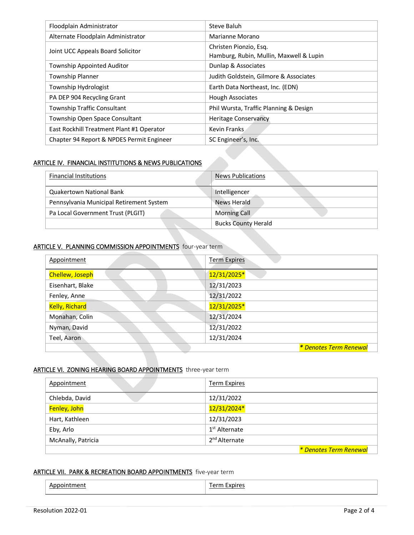| Floodplain Administrator                  | Steve Baluh                                                       |
|-------------------------------------------|-------------------------------------------------------------------|
| Alternate Floodplain Administrator        | Marianne Morano                                                   |
| Joint UCC Appeals Board Solicitor         | Christen Pionzio, Esg.<br>Hamburg, Rubin, Mullin, Maxwell & Lupin |
| <b>Township Appointed Auditor</b>         | Dunlap & Associates                                               |
| Township Planner                          | Judith Goldstein, Gilmore & Associates                            |
| Township Hydrologist                      | Earth Data Northeast, Inc. (EDN)                                  |
| PA DEP 904 Recycling Grant                | <b>Hough Associates</b>                                           |
| Township Traffic Consultant               | Phil Wursta, Traffic Planning & Design                            |
| Township Open Space Consultant            | <b>Heritage Conservancy</b>                                       |
| East Rockhill Treatment Plant #1 Operator | Kevin Franks                                                      |
| Chapter 94 Report & NPDES Permit Engineer | SC Engineer's, Inc.                                               |

### ARTICLE IV. FINANCIAL INSTITUTIONS & NEWS PUBLICATIONS

| <b>Financial Institutions</b>            | <b>News Publications</b>   |  |  |
|------------------------------------------|----------------------------|--|--|
| Quakertown National Bank                 | Intelligencer              |  |  |
| Pennsylvania Municipal Retirement System | News Herald                |  |  |
| Pa Local Government Trust (PLGIT)        | <b>Morning Call</b>        |  |  |
|                                          | <b>Bucks County Herald</b> |  |  |

## ARTICLE V. PLANNING COMMISSION APPOINTMENTS four-year term

| Appointment           | <b>Term Expires</b>    |
|-----------------------|------------------------|
| Chellew, Joseph       | 12/31/2025*            |
| Eisenhart, Blake      | 12/31/2023             |
| Fenley, Anne          | 12/31/2022             |
| <b>Kelly, Richard</b> | 12/31/2025*            |
| Monahan, Colin        | 12/31/2024             |
| Nyman, David          | 12/31/2022             |
| Teel, Aaron           | 12/31/2024             |
|                       | * Denotes Term Renewal |

## ARTICLE VI. ZONING HEARING BOARD APPOINTMENTS three-year term

| Appointment        | <b>Term Expires</b>       |
|--------------------|---------------------------|
| Chlebda, David     | 12/31/2022                |
| Fenley, John       | 12/31/2024*               |
| Hart, Kathleen     | 12/31/2023                |
| Eby, Arlo          | 1 <sup>st</sup> Alternate |
| McAnally, Patricia | 2 <sup>nd</sup> Alternate |
|                    | * Denotes Term Renewal    |

## ARTICLE VII. PARK & RECREATION BOARD APPOINTMENTS five-year term

| ⊺men⊤ | nirer.<br>- ----<br>. |
|-------|-----------------------|
|       |                       |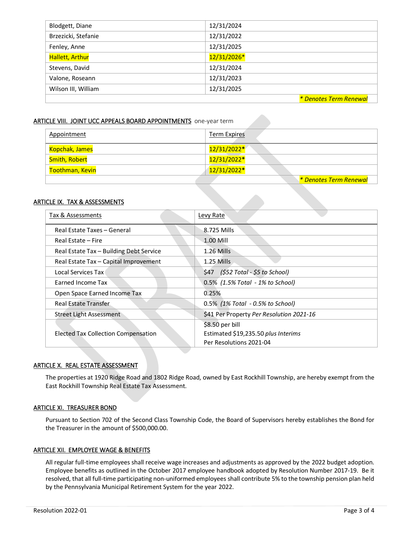| Blodgett, Diane        | 12/31/2024             |
|------------------------|------------------------|
| Brzezicki, Stefanie    | 12/31/2022             |
| Fenley, Anne           | 12/31/2025             |
| <b>Hallett, Arthur</b> | 12/31/2026*            |
| Stevens, David         | 12/31/2024             |
| Valone, Roseann        | 12/31/2023             |
| Wilson III, William    | 12/31/2025             |
|                        | * Denotes Term Renewal |

#### ARTICLE VIII. JOINT UCC APPEALS BOARD APPOINTMENTS one-year term

| Appointment     | Term Expires                  |
|-----------------|-------------------------------|
| Kopchak, James  | 12/31/2022*                   |
| Smith, Robert   | 12/31/2022*                   |
| Toothman, Kevin | 12/31/2022*                   |
|                 | <u>* Denotes Term Renewal</u> |

#### ARTICLE IX. TAX & ASSESSMENTS

| Tax & Assessments                       | Levy Rate                                |  |
|-----------------------------------------|------------------------------------------|--|
| Real Estate Taxes - General             | 8.725 Mills                              |  |
| Real Estate – Fire                      | 1.00 Mill                                |  |
| Real Estate Tax - Building Debt Service | $1.26$ Mills                             |  |
| Real Estate Tax - Capital Improvement   | $1.25$ Mills                             |  |
| Local Services Tax                      | \$47 (\$52 Total - \$5 to School)        |  |
| Earned Income Tax                       | 0.5% (1.5% Total - 1% to School)         |  |
| Open Space Earned Income Tax            | 0.25%                                    |  |
| <b>Real Estate Transfer</b>             | 0.5% (1% Total - 0.5% to School)         |  |
| Street Light Assessment                 | \$41 Per Property Per Resolution 2021-16 |  |
|                                         | \$8.50 per bill                          |  |
| Elected Tax Collection Compensation     | Estimated \$19,235.50 plus Interims      |  |
|                                         | Per Resolutions 2021-04                  |  |

#### ARTICLE X. REAL ESTATE ASSESSMENT

The properties at 1920 Ridge Road and 1802 Ridge Road, owned by East Rockhill Township, are hereby exempt from the East Rockhill Township Real Estate Tax Assessment.

#### ARTICLE XI. TREASURER BOND

Pursuant to Section 702 of the Second Class Township Code, the Board of Supervisors hereby establishes the Bond for the Treasurer in the amount of \$500,000.00.

### ARTICLE XII. EMPLOYEE WAGE & BENEFITS

All regular full-time employees shall receive wage increases and adjustments as approved by the 2022 budget adoption. Employee benefits as outlined in the October 2017 employee handbook adopted by Resolution Number 2017-19. Be it resolved, that all full-time participating non-uniformed employees shall contribute 5% to the township pension plan held by the Pennsylvania Municipal Retirement System for the year 2022.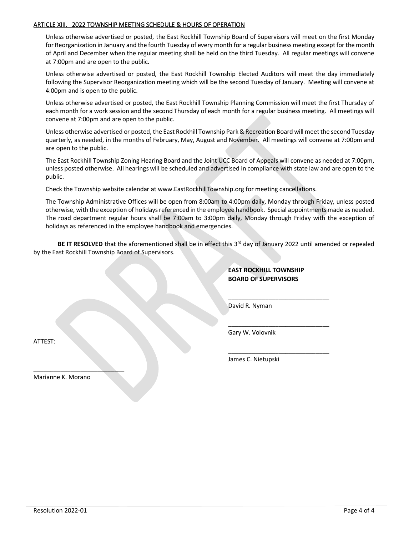#### ARTICLE XIII. 2022 TOWNSHIP MEETING SCHEDULE & HOURS OF OPERATION

Unless otherwise advertised or posted, the East Rockhill Township Board of Supervisors will meet on the first Monday for Reorganization in January and the fourth Tuesday of every month for a regular business meeting except for the month of April and December when the regular meeting shall be held on the third Tuesday. All regular meetings will convene at 7:00pm and are open to the public.

Unless otherwise advertised or posted, the East Rockhill Township Elected Auditors will meet the day immediately following the Supervisor Reorganization meeting which will be the second Tuesday of January. Meeting will convene at 4:00pm and is open to the public.

Unless otherwise advertised or posted, the East Rockhill Township Planning Commission will meet the first Thursday of each month for a work session and the second Thursday of each month for a regular business meeting. All meetings will convene at 7:00pm and are open to the public.

Unless otherwise advertised or posted, the East Rockhill Township Park & Recreation Board will meet the second Tuesday quarterly, as needed, in the months of February, May, August and November. All meetings will convene at 7:00pm and are open to the public.

The East Rockhill Township Zoning Hearing Board and the Joint UCC Board of Appeals will convene as needed at 7:00pm, unless posted otherwise. All hearings will be scheduled and advertised in compliance with state law and are open to the public.

Check the Township website calendar at www[.EastRockhillTownship.org](http://www.eastrockhilltownship.org/) for meeting cancellations.

The Township Administrative Offices will be open from 8:00am to 4:00pm daily, Monday through Friday, unless posted otherwise, with the exception of holidays referenced in the employee handbook. Special appointments made as needed. The road department regular hours shall be 7:00am to 3:00pm daily, Monday through Friday with the exception of holidays as referenced in the employee handbook and emergencies.

BE IT RESOLVED that the aforementioned shall be in effect this 3<sup>rd</sup> day of January 2022 until amended or repealed by the East Rockhill Township Board of Supervisors.

## **EAST ROCKHILL TOWNSHIP BOARD OF SUPERVISORS**

\_\_\_\_\_\_\_\_\_\_\_\_\_\_\_\_\_\_\_\_\_\_\_\_\_\_\_\_\_\_

\_\_\_\_\_\_\_\_\_\_\_\_\_\_\_\_\_\_\_\_\_\_\_\_\_\_\_\_\_\_

\_\_\_\_\_\_\_\_\_\_\_\_\_\_\_\_\_\_\_\_\_\_\_\_\_\_\_\_\_\_

David R. Nyman

Gary W. Volovnik

ATTEST:

James C. Nietupski

Marianne K. Morano

 $\_$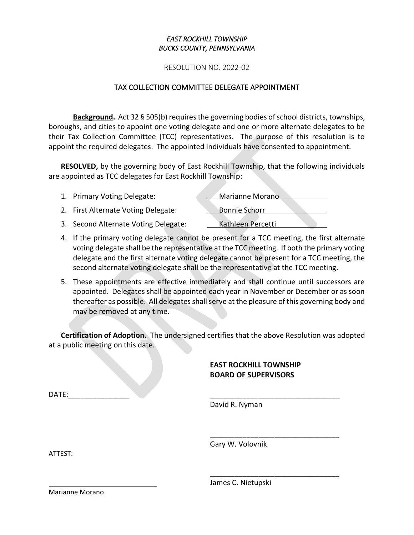## *EAST ROCKHILL TOWNSHIP BUCKS COUNTY, PENNSYLVANIA*

RESOLUTION NO. 2022-02

## TAX COLLECTION COMMITTEE DELEGATE APPOINTMENT

**Background.** Act 32 § 505(b) requires the governing bodies of school districts, townships, boroughs, and cities to appoint one voting delegate and one or more alternate delegates to be their Tax Collection Committee (TCC) representatives. The purpose of this resolution is to appoint the required delegates. The appointed individuals have consented to appointment.

**RESOLVED,** by the governing body of East Rockhill Township, that the following individuals are appointed as TCC delegates for East Rockhill Township:

| 1. Primary Voting Delegate:          | Marianne Morano      |
|--------------------------------------|----------------------|
| 2. First Alternate Voting Delegate:  | <b>Bonnie Schorr</b> |
| 3. Second Alternate Voting Delegate: | Kathleen Percetti    |

- 4. If the primary voting delegate cannot be present for a TCC meeting, the first alternate voting delegate shall be the representative at the TCC meeting. If both the primary voting delegate and the first alternate voting delegate cannot be present for a TCC meeting, the second alternate voting delegate shall be the representative at the TCC meeting.
- 5. These appointments are effective immediately and shall continue until successors are appointed. Delegates shall be appointed each year in November or December or as soon thereafter as possible. All delegates shall serve at the pleasure of this governing body and may be removed at any time.

**Certification of Adoption.** The undersigned certifies that the above Resolution was adopted at a public meeting on this date.

# **EAST ROCKHILL TOWNSHIP BOARD OF SUPERVISORS**

\_\_\_\_\_\_\_\_\_\_\_\_\_\_\_\_\_\_\_\_\_\_\_\_\_\_\_\_\_\_\_\_

\_\_\_\_\_\_\_\_\_\_\_\_\_\_\_\_\_\_\_\_\_\_\_\_\_\_\_\_\_\_\_\_

 $DATE:$ 

David R. Nyman

Gary W. Volovnik

ATTEST:

James C. Nietupski

Marianne Morano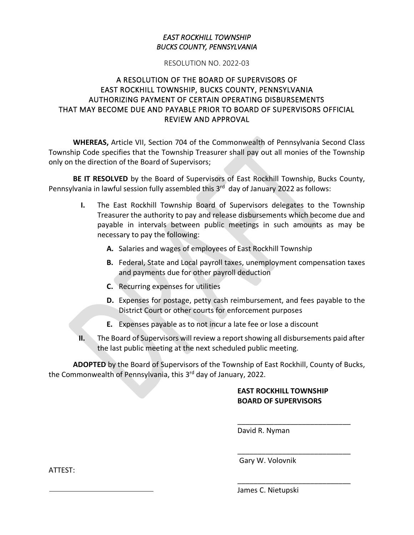## *EAST ROCKHILL TOWNSHIP BUCKS COUNTY, PENNSYLVANIA*

## RESOLUTION NO. 2022-03

# A RESOLUTION OF THE BOARD OF SUPERVISORS OF EAST ROCKHILL TOWNSHIP, BUCKS COUNTY, PENNSYLVANIA AUTHORIZING PAYMENT OF CERTAIN OPERATING DISBURSEMENTS THAT MAY BECOME DUE AND PAYABLE PRIOR TO BOARD OF SUPERVISORS OFFICIAL REVIEW AND APPROVAL

**WHEREAS,** Article VII, Section 704 of the Commonwealth of Pennsylvania Second Class Township Code specifies that the Township Treasurer shall pay out all monies of the Township only on the direction of the Board of Supervisors;

**BE IT RESOLVED** by the Board of Supervisors of East Rockhill Township, Bucks County, Pennsylvania in lawful session fully assembled this 3<sup>rd</sup> day of January 2022 as follows:

- **I.** The East Rockhill Township Board of Supervisors delegates to the Township Treasurer the authority to pay and release disbursements which become due and payable in intervals between public meetings in such amounts as may be necessary to pay the following:
	- **A.** Salaries and wages of employees of East Rockhill Township
	- **B.** Federal, State and Local payroll taxes, unemployment compensation taxes and payments due for other payroll deduction
	- **C.** Recurring expenses for utilities
	- **D.** Expenses for postage, petty cash reimbursement, and fees payable to the District Court or other courts for enforcement purposes
	- **E.** Expenses payable as to not incur a late fee or lose a discount
- **II.** The Board of Supervisors will review a report showing all disbursements paid after the last public meeting at the next scheduled public meeting.

**ADOPTED** by the Board of Supervisors of the Township of East Rockhill, County of Bucks, the Commonwealth of Pennsylvania, this 3<sup>rd</sup> day of January, 2022.

# **EAST ROCKHILL TOWNSHIP BOARD OF SUPERVISORS**

\_\_\_\_\_\_\_\_\_\_\_\_\_\_\_\_\_\_\_\_\_\_\_\_\_\_\_\_

\_\_\_\_\_\_\_\_\_\_\_\_\_\_\_\_\_\_\_\_\_\_\_\_\_\_\_\_

\_\_\_\_\_\_\_\_\_\_\_\_\_\_\_\_\_\_\_\_\_\_\_\_\_\_\_\_

David R. Nyman

Gary W. Volovnik

ATTEST:

James C. Nietupski